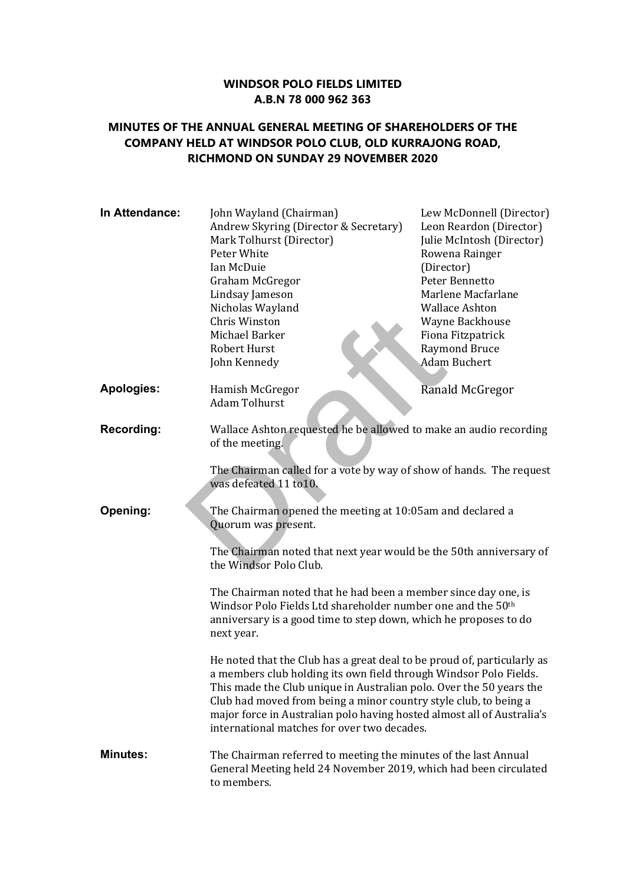## **WINDSOR POLO FIELDS LIMITED A.B.N 78 000 962 363**

## **MINUTES OF THE ANNUAL GENERAL MEETING OF SHAREHOLDERS OF THE COMPANY HELD AT WINDSOR POLO CLUB, OLD KURRAJONG ROAD, RICHMOND ON SUNDAY 29 NOVEMBER 2020**

| In Attendance:    | John Wayland (Chairman)<br>Andrew Skyring (Director & Secretary)<br>Mark Tolhurst (Director)<br>Peter White<br>Ian McDuie<br>Graham McGregor<br>Lindsay Jameson<br>Nicholas Wayland<br>Chris Winston<br>Michael Barker<br>Robert Hurst<br>John Kennedy                                                                                                                                                           | Lew McDonnell (Director)<br>Leon Reardon (Director)<br>Julie McIntosh (Director)<br>Rowena Rainger<br>(Director)<br>Peter Bennetto<br>Marlene Macfarlane<br><b>Wallace Ashton</b><br>Wayne Backhouse<br>Fiona Fitzpatrick<br><b>Raymond Bruce</b><br><b>Adam Buchert</b> |  |
|-------------------|------------------------------------------------------------------------------------------------------------------------------------------------------------------------------------------------------------------------------------------------------------------------------------------------------------------------------------------------------------------------------------------------------------------|--------------------------------------------------------------------------------------------------------------------------------------------------------------------------------------------------------------------------------------------------------------------------|--|
| <b>Apologies:</b> | Hamish McGregor<br><b>Adam Tolhurst</b>                                                                                                                                                                                                                                                                                                                                                                          | Ranald McGregor                                                                                                                                                                                                                                                          |  |
| <b>Recording:</b> | Wallace Ashton requested he be allowed to make an audio recording<br>of the meeting.                                                                                                                                                                                                                                                                                                                             |                                                                                                                                                                                                                                                                          |  |
|                   | The Chairman called for a vote by way of show of hands. The request<br>was defeated 11 to 10.                                                                                                                                                                                                                                                                                                                    |                                                                                                                                                                                                                                                                          |  |
| Opening:          | The Chairman opened the meeting at 10:05am and declared a<br>Quorum was present.<br>The Chairman noted that next year would be the 50th anniversary of<br>the Windsor Polo Club.<br>The Chairman noted that he had been a member since day one, is<br>Windsor Polo Fields Ltd shareholder number one and the 50th<br>anniversary is a good time to step down, which he proposes to do<br>next year.              |                                                                                                                                                                                                                                                                          |  |
|                   |                                                                                                                                                                                                                                                                                                                                                                                                                  |                                                                                                                                                                                                                                                                          |  |
|                   |                                                                                                                                                                                                                                                                                                                                                                                                                  |                                                                                                                                                                                                                                                                          |  |
|                   | He noted that the Club has a great deal to be proud of, particularly as<br>a members club holding its own field through Windsor Polo Fields.<br>This made the Club unique in Australian polo. Over the 50 years the<br>Club had moved from being a minor country style club, to being a<br>major force in Australian polo having hosted almost all of Australia's<br>international matches for over two decades. |                                                                                                                                                                                                                                                                          |  |
| <b>Minutes:</b>   | The Chairman referred to meeting the minutes of the last Annual<br>General Meeting held 24 November 2019, which had been circulated<br>to members.                                                                                                                                                                                                                                                               |                                                                                                                                                                                                                                                                          |  |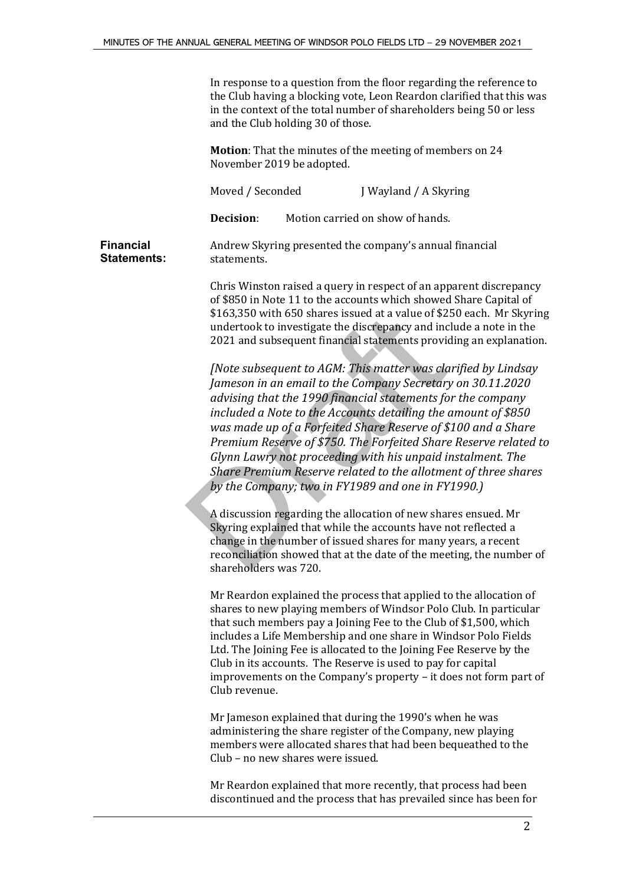In response to a question from the floor regarding the reference to the Club having a blocking vote, Leon Reardon clarified that this was in the context of the total number of shareholders being 50 or less and the Club holding 30 of those.

**Motion**: That the minutes of the meeting of members on 24 November 2019 be adopted.

Moved / Seconded J Wayland / A Skyring

**Decision**: Motion carried on show of hands.

**Financial Statements:** Andrew Skyring presented the company's annual financial statements.

> Chris Winston raised a query in respect of an apparent discrepancy of \$850 in Note 11 to the accounts which showed Share Capital of \$163,350 with 650 shares issued at a value of \$250 each. Mr Skyring undertook to investigate the discrepancy and include a note in the 2021 and subsequent financial statements providing an explanation.

*[Note subsequent to AGM: This matter was clarified by Lindsay Jameson in an email to the Company Secretary on 30.11.2020 advising that the 1990 financial statements for the company included a Note to the Accounts detailing the amount of \$850 was made up of a Forfeited Share Reserve of \$100 and a Share Premium Reserve of \$750. The Forfeited Share Reserve related to Glynn Lawry not proceeding with his unpaid instalment. The Share Premium Reserve related to the allotment of three shares by the Company; two in FY1989 and one in FY1990.)* \$163,350 with 650 shares issued at a value of \$2<br>undertook to investigate the discrepancy and in<br>2021 and subsequent financial statements provi<br>[Note subsequent to AGM: This matter was cla<br>Jameson in an email to the Compan

A discussion regarding the allocation of new shares ensued. Mr Skyring explained that while the accounts have not reflected a change in the number of issued shares for many years, a recent reconciliation showed that at the date of the meeting, the number of shareholders was 720.

Mr Reardon explained the process that applied to the allocation of shares to new playing members of Windsor Polo Club. In particular that such members pay a Joining Fee to the Club of \$1,500, which includes a Life Membership and one share in Windsor Polo Fields Ltd. The Joining Fee is allocated to the Joining Fee Reserve by the Club in its accounts. The Reserve is used to pay for capital improvements on the Company's property – it does not form part of Club revenue.

Mr Jameson explained that during the 1990's when he was administering the share register of the Company, new playing members were allocated shares that had been bequeathed to the Club – no new shares were issued.

Mr Reardon explained that more recently, that process had been discontinued and the process that has prevailed since has been for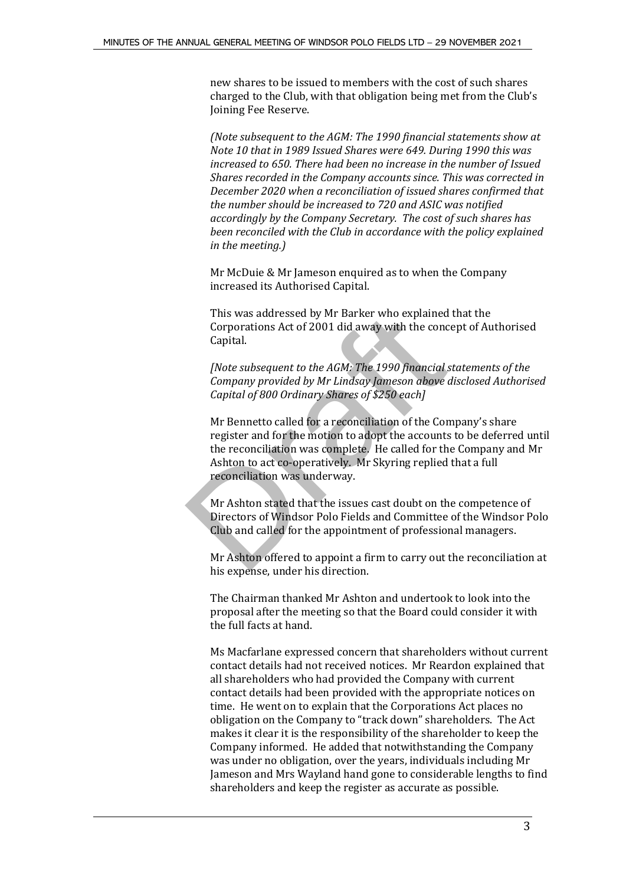new shares to be issued to members with the cost of such shares charged to the Club, with that obligation being met from the Club's Joining Fee Reserve.

*(Note subsequent to the AGM: The 1990 financial statements show at Note 10 that in 1989 Issued Shares were 649. During 1990 this was increased to 650. There had been no increase in the number of Issued Shares recorded in the Company accounts since. This was corrected in December 2020 when a reconciliation of issued shares confirmed that the number should be increased to 720 and ASIC was notified accordingly by the Company Secretary. The cost of such shares has been reconciled with the Club in accordance with the policy explained in the meeting.)*

Mr McDuie & Mr Jameson enquired as to when the Company increased its Authorised Capital.

This was addressed by Mr Barker who explained that the Corporations Act of 2001 did away with the concept of Authorised Capital.

*[Note subsequent to the AGM: The 1990 financial statements of the Company provided by Mr Lindsay Jameson above disclosed Authorised Capital of 800 Ordinary Shares of \$250 each]*

Mr Bennetto called for a reconciliation of the Company's share register and for the motion to adopt the accounts to be deferred until the reconciliation was complete. He called for the Company and Mr Ashton to act co-operatively. Mr Skyring replied that a full reconciliation was underway. This was addressed by Mr Barker who explained<br>Corporations Act of 2001 did away with the cone<br>Capital.<br>
[Note subsequent to the AGM: The 1990 financial<br>
Company provided by Mr Lindsay Jameson above<br>
Capital of 800 Ordinary

Mr Ashton stated that the issues cast doubt on the competence of Directors of Windsor Polo Fields and Committee of the Windsor Polo Club and called for the appointment of professional managers.

Mr Ashton offered to appoint a firm to carry out the reconciliation at his expense, under his direction.

The Chairman thanked Mr Ashton and undertook to look into the proposal after the meeting so that the Board could consider it with the full facts at hand.

Ms Macfarlane expressed concern that shareholders without current contact details had not received notices. Mr Reardon explained that all shareholders who had provided the Company with current contact details had been provided with the appropriate notices on time. He went on to explain that the Corporations Act places no obligation on the Company to "track down" shareholders. The Act makes it clear it is the responsibility of the shareholder to keep the Company informed. He added that notwithstanding the Company was under no obligation, over the years, individuals including Mr Jameson and Mrs Wayland hand gone to considerable lengths to find shareholders and keep the register as accurate as possible.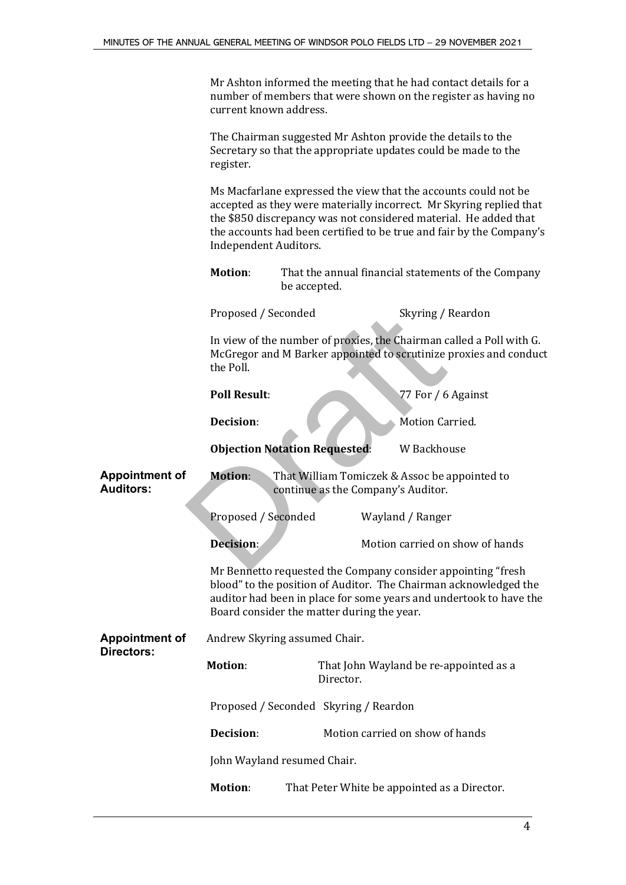Mr Ashton informed the meeting that he had contact details for a number of members that were shown on the register as having no current known address.

The Chairman suggested Mr Ashton provide the details to the Secretary so that the appropriate updates could be made to the register.

Ms Macfarlane expressed the view that the accounts could not be accepted as they were materially incorrect. Mr Skyring replied that the \$850 discrepancy was not considered material. He added that the accounts had been certified to be true and fair by the Company's Independent Auditors.

| <b>Motion:</b> | That the annual financial statements of the Company |
|----------------|-----------------------------------------------------|
|                | be accepted.                                        |

Proposed / Seconded Skyring / Reardon

|                                           | Proposed / Seconded                                                                                                                                                                                                                                  |                                                                                     | Skyring / Reardon                                                                                                                         |  |
|-------------------------------------------|------------------------------------------------------------------------------------------------------------------------------------------------------------------------------------------------------------------------------------------------------|-------------------------------------------------------------------------------------|-------------------------------------------------------------------------------------------------------------------------------------------|--|
|                                           | the Poll.                                                                                                                                                                                                                                            |                                                                                     | In view of the number of proxies, the Chairman called a Poll with G.<br>McGregor and M Barker appointed to scrutinize proxies and conduct |  |
|                                           | <b>Poll Result:</b>                                                                                                                                                                                                                                  |                                                                                     | 77 For / 6 Against                                                                                                                        |  |
|                                           | Decision:                                                                                                                                                                                                                                            |                                                                                     | Motion Carried.                                                                                                                           |  |
|                                           | <b>Objection Notation Requested:</b>                                                                                                                                                                                                                 |                                                                                     | W Backhouse                                                                                                                               |  |
| <b>Appointment of</b><br><b>Auditors:</b> | <b>Motion:</b>                                                                                                                                                                                                                                       | That William Tomiczek & Assoc be appointed to<br>continue as the Company's Auditor. |                                                                                                                                           |  |
|                                           | Proposed / Seconded                                                                                                                                                                                                                                  |                                                                                     | Wayland / Ranger                                                                                                                          |  |
|                                           | Decision:                                                                                                                                                                                                                                            |                                                                                     | Motion carried on show of hands                                                                                                           |  |
|                                           | Mr Bennetto requested the Company consider appointing "fresh<br>blood" to the position of Auditor. The Chairman acknowledged the<br>auditor had been in place for some years and undertook to have the<br>Board consider the matter during the year. |                                                                                     |                                                                                                                                           |  |
| <b>Appointment of</b><br>Directors:       | Andrew Skyring assumed Chair.                                                                                                                                                                                                                        |                                                                                     |                                                                                                                                           |  |
|                                           | <b>Motion:</b>                                                                                                                                                                                                                                       | Director.                                                                           | That John Wayland be re-appointed as a                                                                                                    |  |
|                                           | Proposed / Seconded Skyring / Reardon                                                                                                                                                                                                                |                                                                                     |                                                                                                                                           |  |
|                                           | Decision:                                                                                                                                                                                                                                            |                                                                                     | Motion carried on show of hands                                                                                                           |  |
|                                           | John Wayland resumed Chair.                                                                                                                                                                                                                          |                                                                                     |                                                                                                                                           |  |
|                                           | <b>Motion:</b>                                                                                                                                                                                                                                       |                                                                                     | That Peter White be appointed as a Director.                                                                                              |  |
|                                           |                                                                                                                                                                                                                                                      |                                                                                     |                                                                                                                                           |  |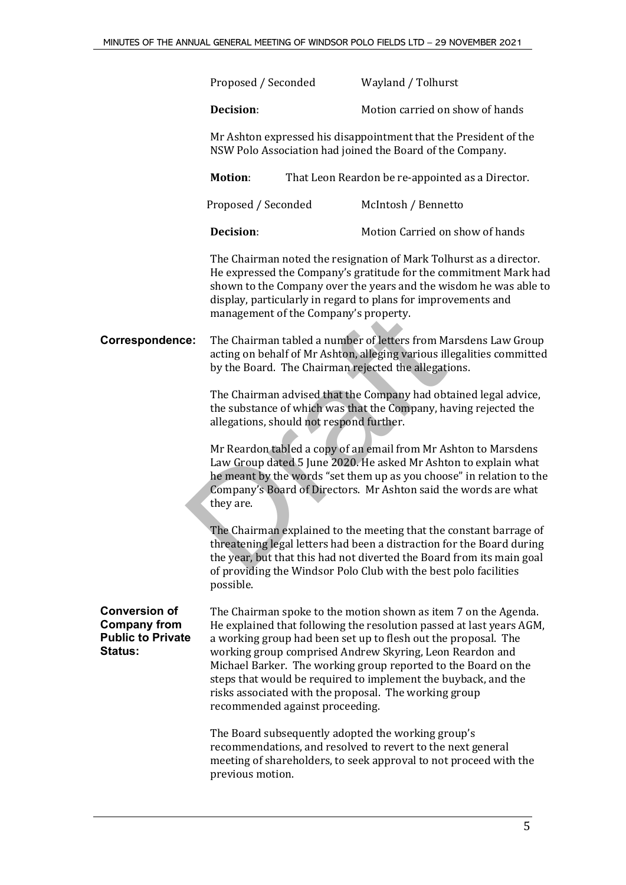|                                                                                           | Proposed / Seconded                                                                                                                                                                                                                                                                                                   |                                          | Wayland / Tolhurst                                                                                                                                                                                                                                                                                                                                                                                                                                                 |
|-------------------------------------------------------------------------------------------|-----------------------------------------------------------------------------------------------------------------------------------------------------------------------------------------------------------------------------------------------------------------------------------------------------------------------|------------------------------------------|--------------------------------------------------------------------------------------------------------------------------------------------------------------------------------------------------------------------------------------------------------------------------------------------------------------------------------------------------------------------------------------------------------------------------------------------------------------------|
|                                                                                           | Decision:                                                                                                                                                                                                                                                                                                             |                                          | Motion carried on show of hands                                                                                                                                                                                                                                                                                                                                                                                                                                    |
|                                                                                           |                                                                                                                                                                                                                                                                                                                       |                                          | Mr Ashton expressed his disappointment that the President of the<br>NSW Polo Association had joined the Board of the Company.                                                                                                                                                                                                                                                                                                                                      |
|                                                                                           | <b>Motion:</b>                                                                                                                                                                                                                                                                                                        |                                          | That Leon Reardon be re-appointed as a Director.                                                                                                                                                                                                                                                                                                                                                                                                                   |
|                                                                                           | Proposed / Seconded                                                                                                                                                                                                                                                                                                   |                                          | McIntosh / Bennetto                                                                                                                                                                                                                                                                                                                                                                                                                                                |
|                                                                                           | Decision:                                                                                                                                                                                                                                                                                                             |                                          | Motion Carried on show of hands                                                                                                                                                                                                                                                                                                                                                                                                                                    |
|                                                                                           | The Chairman noted the resignation of Mark Tolhurst as a director.<br>He expressed the Company's gratitude for the commitment Mark had<br>shown to the Company over the years and the wisdom he was able to<br>display, particularly in regard to plans for improvements and<br>management of the Company's property. |                                          |                                                                                                                                                                                                                                                                                                                                                                                                                                                                    |
| <b>Correspondence:</b>                                                                    | The Chairman tabled a number of letters from Marsdens Law Group<br>acting on behalf of Mr Ashton, alleging various illegalities committed<br>by the Board. The Chairman rejected the allegations.                                                                                                                     |                                          |                                                                                                                                                                                                                                                                                                                                                                                                                                                                    |
|                                                                                           |                                                                                                                                                                                                                                                                                                                       | allegations, should not respond further. | The Chairman advised that the Company had obtained legal advice,<br>the substance of which was that the Company, having rejected the                                                                                                                                                                                                                                                                                                                               |
|                                                                                           | they are.                                                                                                                                                                                                                                                                                                             |                                          | Mr Reardon tabled a copy of an email from Mr Ashton to Marsdens<br>Law Group dated 5 June 2020. He asked Mr Ashton to explain what<br>he meant by the words "set them up as you choose" in relation to the<br>Company's Board of Directors. Mr Ashton said the words are what                                                                                                                                                                                      |
|                                                                                           | possible.                                                                                                                                                                                                                                                                                                             |                                          | The Chairman explained to the meeting that the constant barrage of<br>threatening legal letters had been a distraction for the Board during<br>the year, but that this had not diverted the Board from its main goal<br>of providing the Windsor Polo Club with the best polo facilities                                                                                                                                                                           |
| <b>Conversion of</b><br><b>Company from</b><br><b>Public to Private</b><br><b>Status:</b> |                                                                                                                                                                                                                                                                                                                       | recommended against proceeding.          | The Chairman spoke to the motion shown as item 7 on the Agenda.<br>He explained that following the resolution passed at last years AGM,<br>a working group had been set up to flesh out the proposal. The<br>working group comprised Andrew Skyring, Leon Reardon and<br>Michael Barker. The working group reported to the Board on the<br>steps that would be required to implement the buyback, and the<br>risks associated with the proposal. The working group |
|                                                                                           | previous motion.                                                                                                                                                                                                                                                                                                      |                                          | The Board subsequently adopted the working group's<br>recommendations, and resolved to revert to the next general<br>meeting of shareholders, to seek approval to not proceed with the                                                                                                                                                                                                                                                                             |